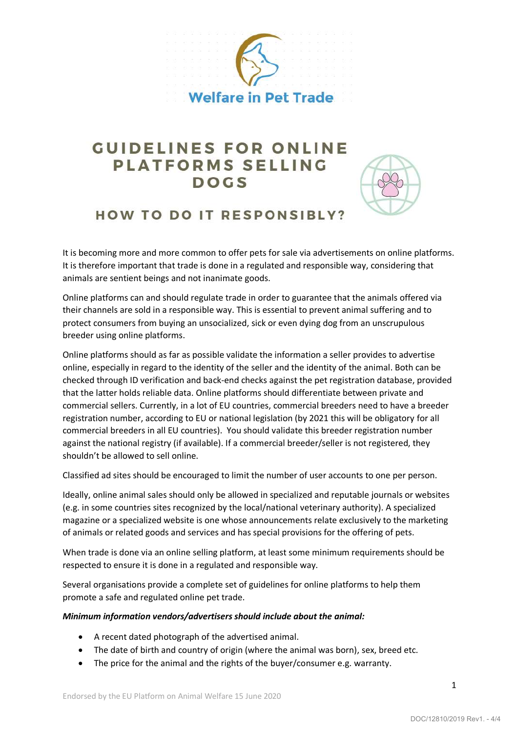

# **GUIDELINES FOR ONLINE PLATFORMS SELLING DOGS**



## **HOW TO DO IT RESPONSIBLY?**

It is becoming more and more common to offer pets for sale via advertisements on online platforms. It is therefore important that trade is done in a regulated and responsible way, considering that animals are sentient beings and not inanimate goods.

Online platforms can and should regulate trade in order to guarantee that the animals offered via their channels are sold in a responsible way. This is essential to prevent animal suffering and to protect consumers from buying an unsocialized, sick or even dying dog from an unscrupulous breeder using online platforms.

Online platforms should as far as possible validate the information a seller provides to advertise online, especially in regard to the identity of the seller and the identity of the animal. Both can be checked through ID verification and back-end checks against the pet registration database, provided that the latter holds reliable data. Online platforms should differentiate between private and commercial sellers. Currently, in a lot of EU countries, commercial breeders need to have a breeder registration number, according to EU or national legislation (by 2021 this will be obligatory for all commercial breeders in all EU countries). You should validate this breeder registration number against the national registry (if available). If a commercial breeder/seller is not registered, they shouldn't be allowed to sell online.

Classified ad sites should be encouraged to limit the number of user accounts to one per person.

Ideally, online animal sales should only be allowed in specialized and reputable journals or websites (e.g. in some countries sites recognized by the local/national veterinary authority). A specialized magazine or a specialized website is one whose announcements relate exclusively to the marketing of animals or related goods and services and has special provisions for the offering of pets.

When trade is done via an online selling platform, at least some minimum requirements should be respected to ensure it is done in a regulated and responsible way.

Several organisations provide a complete set of guidelines for online platforms to help them promote a safe and regulated online pet trade.

## *Minimum information vendors/advertisers should include about the animal:*

- A recent dated photograph of the advertised animal.
- The date of birth and country of origin (where the animal was born), sex, breed etc.
- The price for the animal and the rights of the buyer/consumer e.g. warranty.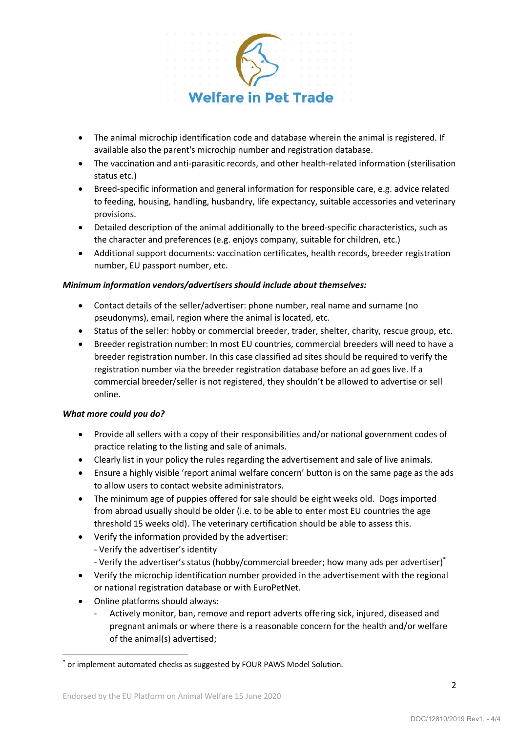

- The animal microchip identification code and database wherein the animal is registered. If available also the parent's microchip number and registration database.
- The vaccination and anti-parasitic records, and other health-related information (sterilisation status etc.)
- Breed-specific information and general information for responsible care, e.g. advice related to feeding, housing, handling, husbandry, life expectancy, suitable accessories and veterinary provisions.
- Detailed description of the animal additionally to the breed-specific characteristics, such as the character and preferences (e.g. enjoys company, suitable for children, etc.)
- Additional support documents: vaccination certificates, health records, breeder registration number, EU passport number, etc.

## *Minimum information vendors/advertisers should include about themselves:*

- Contact details of the seller/advertiser: phone number, real name and surname (no pseudonyms), email, region where the animal is located, etc.
- Status of the seller: hobby or commercial breeder, trader, shelter, charity, rescue group, etc.
- Breeder registration number: In most EU countries, commercial breeders will need to have a breeder registration number. In this case classified ad sites should be required to verify the registration number via the breeder registration database before an ad goes live. If a commercial breeder/seller is not registered, they shouldn't be allowed to advertise or sell online.

### *What more could you do?*

- Provide all sellers with a copy of their responsibilities and/or national government codes of practice relating to the listing and sale of animals.
- Clearly list in your policy the rules regarding the advertisement and sale of live animals.
- Ensure a highly visible 'report animal welfare concern' button is on the same page as the ads to allow users to contact website administrators.
- The minimum age of puppies offered for sale should be eight weeks old. Dogs imported from abroad usually should be older (i.e. to be able to enter most EU countries the age threshold 15 weeks old). The veterinary certification should be able to assess this.
- Verify the information provided by the advertiser:
	- Verify the advertiser's identity
	- Verify the advertiser's status (hobby/commercial breeder; how many ads per advertiser)<sup>\*</sup>
- Verify the microchip identification number provided in the advertisement with the regional or national registration database or with EuroPetNet.
- Online platforms should always:
	- Actively monitor, ban, remove and report adverts offering sick, injured, diseased and pregnant animals or where there is a reasonable concern for the health and/or welfare of the animal(s) advertised;

<sup>\*</sup> or implement automated checks as suggested by FOUR PAWS Model Solution.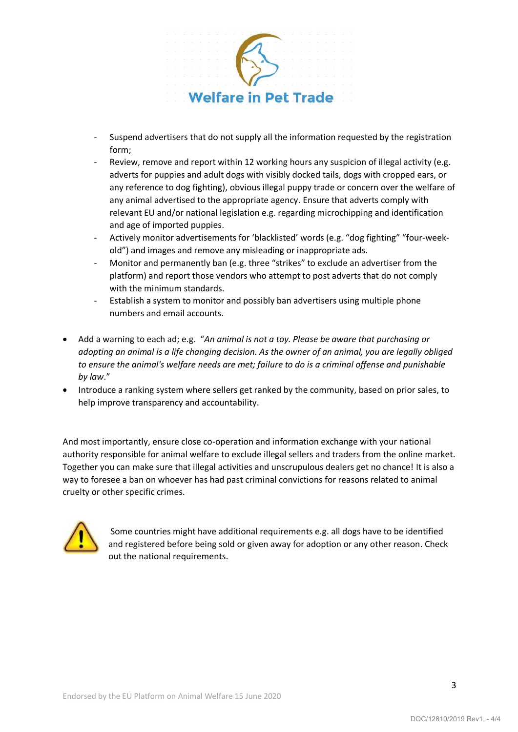

- Suspend advertisers that do not supply all the information requested by the registration form;
- Review, remove and report within 12 working hours any suspicion of illegal activity (e.g. adverts for puppies and adult dogs with visibly docked tails, dogs with cropped ears, or any reference to dog fighting), obvious illegal puppy trade or concern over the welfare of any animal advertised to the appropriate agency. Ensure that adverts comply with relevant EU and/or national legislation e.g. regarding microchipping and identification and age of imported puppies.
- Actively monitor advertisements for 'blacklisted' words (e.g. "dog fighting" "four-weekold") and images and remove any misleading or inappropriate ads.
- Monitor and permanently ban (e.g. three "strikes" to exclude an advertiser from the platform) and report those vendors who attempt to post adverts that do not comply with the minimum standards.
- Establish a system to monitor and possibly ban advertisers using multiple phone numbers and email accounts.
- Add a warning to each ad; e.g. "*An animal is not a toy. Please be aware that purchasing or adopting an animal is a life changing decision. As the owner of an animal, you are legally obliged to ensure the animal's welfare needs are met; failure to do is a criminal offense and punishable by law*."
- Introduce a ranking system where sellers get ranked by the community, based on prior sales, to help improve transparency and accountability.

And most importantly, ensure close co-operation and information exchange with your national authority responsible for animal welfare to exclude illegal sellers and traders from the online market. Together you can make sure that illegal activities and unscrupulous dealers get no chance! It is also a way to foresee a ban on whoever has had past criminal convictions for reasons related to animal cruelty or other specific crimes.



Some countries might have additional requirements e.g. all dogs have to be identified and registered before being sold or given away for adoption or any other reason. Check out the national requirements.